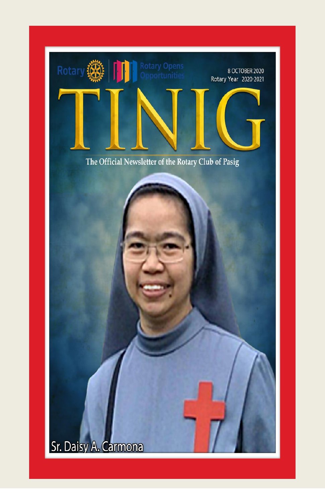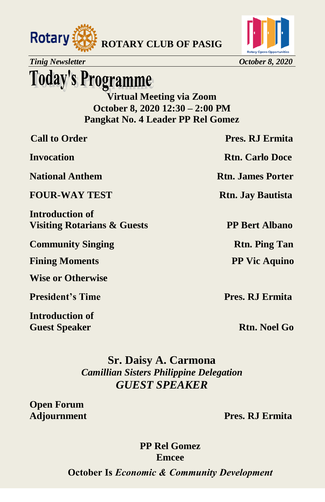



*Tinig Newsletter October 8, 2020* 

### **Today's Programme**

**Virtual Meeting via Zoom October 8, 2020 12:30 – 2:00 PM Pangkat No. 4 Leader PP Rel Gomez** 

| <b>Call to Order</b>                                  | <b>Pres. RJ Ermita</b>   |
|-------------------------------------------------------|--------------------------|
| Invocation                                            | <b>Rtn. Carlo Doce</b>   |
| <b>National Anthem</b>                                | <b>Rtn. James Porter</b> |
| <b>FOUR-WAY TEST</b>                                  | <b>Rtn. Jay Bautista</b> |
| <b>Introduction of</b><br>Visiting Rotarians & Guests | <b>PP Bert Albano</b>    |
| <b>Community Singing</b>                              | <b>Rtn. Ping Tan</b>     |
| <b>Fining Moments</b>                                 | <b>PP Vic Aquino</b>     |
| <b>Wise or Otherwise</b>                              |                          |
|                                                       |                          |

**President's Time Pres. RJ Ermita** 

**Introduction of Guest Speaker Rtn. Noel Go <b>Rtn. Noel Go** 

#### **Sr. Daisy A. Carmona**  *Camillian Sisters Philippine Delegation GUEST SPEAKER*

**Open Forum** 

**Adjournment Pres. RJ Ermita** 

**PP Rel Gomez Emcee** 

**October Is** *Economic & Community Development*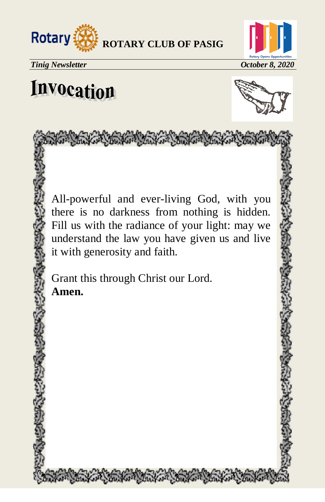



## Invocation



All-powerful and ever-living God, with you there is no darkness from nothing is hidden. Fill us with the radiance of your light: may we understand the law you have given us and live it with generosity and faith.

Control of the Control of Control of Control of Control of Control of Control of Control of Control of Control of Control of Control of Control of Control of Control of Control of Control of Control of Control of Control o

Grant this through Christ our Lord. **Amen.**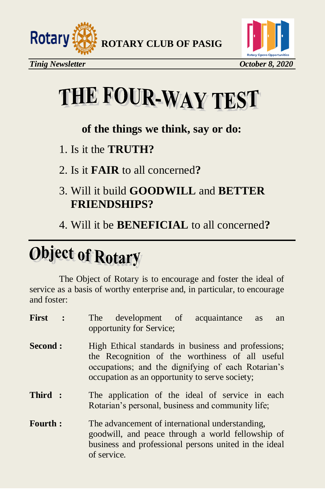



# THE FOUR-WAY TEST

#### **of the things we think, say or do:**

- 1. Is it the **TRUTH?**
- 2. Is it **FAIR** to all concerned**?**
- 3. Will it build **GOODWILL** and **BETTER FRIENDSHIPS?**
- 4. Will it be **BENEFICIAL** to all concerned**?**

## **Object of Rotary**

The Object of Rotary is to encourage and foster the ideal of service as a basis of worthy enterprise and, in particular, to encourage and foster:

| First          | development of acquaintance<br>The The<br>as<br>an<br>opportunity for Service;                                                                                                                                 |
|----------------|----------------------------------------------------------------------------------------------------------------------------------------------------------------------------------------------------------------|
| <b>Second:</b> | High Ethical standards in business and professions;<br>the Recognition of the worthiness of all useful<br>occupations; and the dignifying of each Rotarian's<br>occupation as an opportunity to serve society; |
| Third:         | The application of the ideal of service in each<br>Rotarian's personal, business and community life;                                                                                                           |
| <b>Fourth:</b> | The advancement of international understanding,<br>goodwill, and peace through a world fellowship of<br>business and professional persons united in the ideal<br>of service.                                   |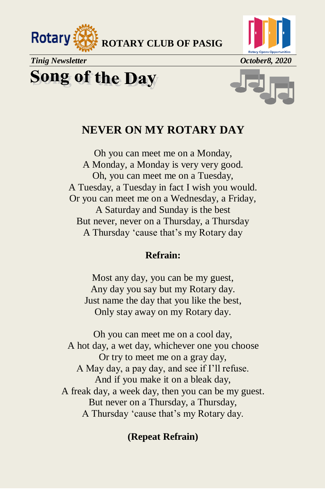



*Tinig Newsletter October8, 2020* 

**Song of the Day** 



#### **NEVER ON MY ROTARY DAY**

Oh you can meet me on a Monday, A Monday, a Monday is very very good. Oh, you can meet me on a Tuesday, A Tuesday, a Tuesday in fact I wish you would. Or you can meet me on a Wednesday, a Friday, A Saturday and Sunday is the best But never, never on a Thursday, a Thursday A Thursday ‗cause that's my Rotary day

#### **Refrain:**

Most any day, you can be my guest, Any day you say but my Rotary day. Just name the day that you like the best, Only stay away on my Rotary day.

Oh you can meet me on a cool day, A hot day, a wet day, whichever one you choose Or try to meet me on a gray day, A May day, a pay day, and see if I'll refuse. And if you make it on a bleak day, A freak day, a week day, then you can be my guest. But never on a Thursday, a Thursday, A Thursday 'cause that's my Rotary day.

#### **(Repeat Refrain)**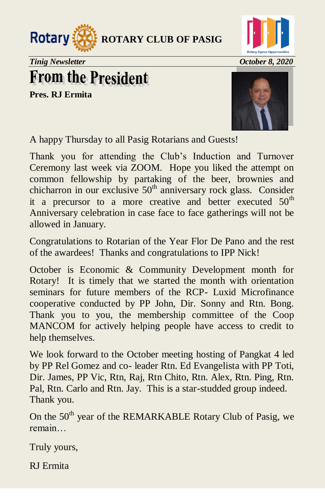



*Tinig Newsletter October 8, 2020* 

### **From the President**

**Pres. RJ Ermita** 



A happy Thursday to all Pasig Rotarians and Guests!

Thank you for attending the Club's Induction and Turnover Ceremony last week via ZOOM. Hope you liked the attempt on common fellowship by partaking of the beer, brownies and chicharron in our exclusive  $50<sup>th</sup>$  anniversary rock glass. Consider it a precursor to a more creative and better executed  $50<sup>th</sup>$ Anniversary celebration in case face to face gatherings will not be allowed in January.

Congratulations to Rotarian of the Year Flor De Pano and the rest of the awardees! Thanks and congratulations to IPP Nick!

October is Economic & Community Development month for Rotary! It is timely that we started the month with orientation seminars for future members of the RCP- Luxid Microfinance cooperative conducted by PP John, Dir. Sonny and Rtn. Bong. Thank you to you, the membership committee of the Coop MANCOM for actively helping people have access to credit to help themselves.

We look forward to the October meeting hosting of Pangkat 4 led by PP Rel Gomez and co- leader Rtn. Ed Evangelista with PP Toti, Dir. James, PP Vic, Rtn, Raj, Rtn Chito, Rtn. Alex, Rtn. Ping, Rtn. Pal, Rtn. Carlo and Rtn. Jay. This is a star-studded group indeed. Thank you.

On the  $50<sup>th</sup>$  year of the REMARKABLE Rotary Club of Pasig, we remain…

Truly yours,

RJ Ermita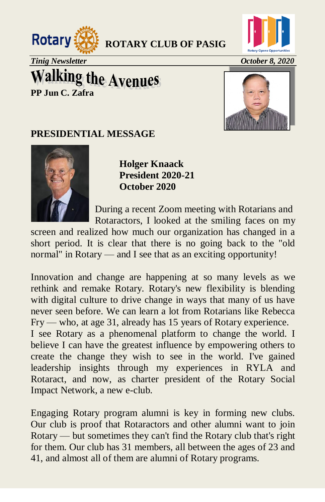



*Tinig Newsletter October 8, 2020*

### **Walking the Avenues PP Jun C. Zafra**



#### **PRESIDENTIAL MESSAGE**



**Holger Knaack President 2020-21 October 2020**

 During a recent Zoom meeting with Rotarians and Rotaractors, I looked at the smiling faces on my

screen and realized how much our organization has changed in a short period. It is clear that there is no going back to the "old normal" in Rotary — and I see that as an exciting opportunity!

Innovation and change are happening at so many levels as we rethink and remake Rotary. Rotary's new flexibility is blending with digital culture to drive change in ways that many of us have never seen before. We can learn a lot from Rotarians like Rebecca Fry — who, at age 31, already has 15 years of Rotary experience. I see Rotary as a phenomenal platform to change the world. I believe I can have the greatest influence by empowering others to create the change they wish to see in the world. I've gained leadership insights through my experiences in RYLA and Rotaract, and now, as charter president of the Rotary Social Impact Network, a new e-club.

Engaging Rotary program alumni is key in forming new clubs. Our club is proof that Rotaractors and other alumni want to join Rotary — but sometimes they can't find the Rotary club that's right for them. Our club has 31 members, all between the ages of 23 and 41, and almost all of them are alumni of Rotary programs.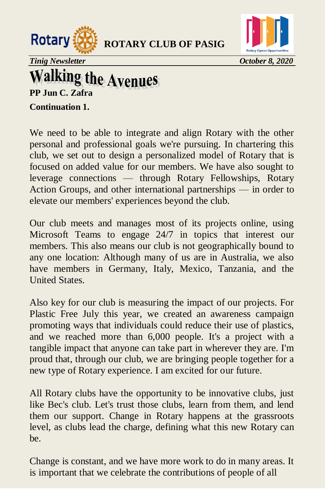



*Tinig Newsletter October 8, 2020*

# **Walking the Avenues**<br>PP Jun C. Zafra

**Continuation 1.** 

We need to be able to integrate and align Rotary with the other personal and professional goals we're pursuing. In chartering this club, we set out to design a personalized model of Rotary that is focused on added value for our members. We have also sought to leverage connections — through Rotary Fellowships, Rotary Action Groups, and other international partnerships — in order to elevate our members' experiences beyond the club.

Our club meets and manages most of its projects online, using Microsoft Teams to engage 24/7 in topics that interest our members. This also means our club is not geographically bound to any one location: Although many of us are in Australia, we also have members in Germany, Italy, Mexico, Tanzania, and the United States.

Also key for our club is measuring the impact of our projects. For Plastic Free July this year, we created an awareness campaign promoting ways that individuals could reduce their use of plastics, and we reached more than 6,000 people. It's a project with a tangible impact that anyone can take part in wherever they are. I'm proud that, through our club, we are bringing people together for a new type of Rotary experience. I am excited for our future.

All Rotary clubs have the opportunity to be innovative clubs, just like Bec's club. Let's trust those clubs, learn from them, and lend them our support. Change in Rotary happens at the grassroots level, as clubs lead the charge, defining what this new Rotary can be.

Change is constant, and we have more work to do in many areas. It is important that we celebrate the contributions of people of all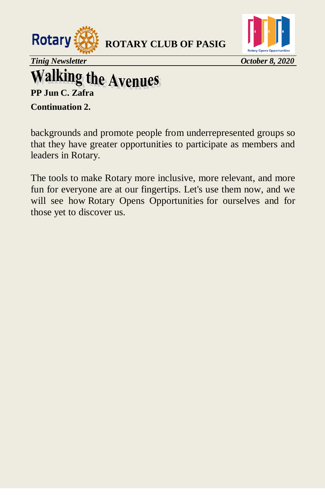



*Tinig Newsletter October 8, 2020*

# **Walking the Avenues**<br>PP Jun C. Zafra

**Continuation 2.** 

backgrounds and promote people from underrepresented groups so that they have greater opportunities to participate as members and leaders in Rotary.

The tools to make Rotary more inclusive, more relevant, and more fun for everyone are at our fingertips. Let's use them now, and we will see how Rotary Opens Opportunities for ourselves and for those yet to discover us.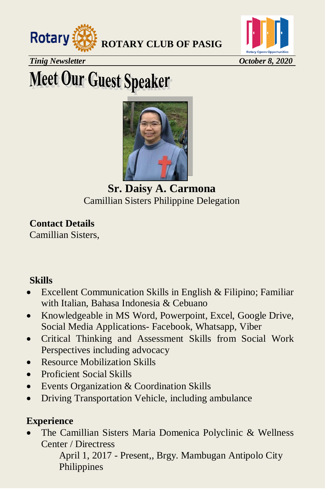



*Tinig Newsletter October 8, 2020* 

## **Meet Our Guest Speaker**



**Sr. Daisy A. Carmona**  Camillian Sisters Philippine Delegation

**Contact Details**  Camillian Sisters,

#### **Skills**

- Excellent Communication Skills in English & Filipino; Familiar with Italian, Bahasa Indonesia & Cebuano
- Knowledgeable in MS Word, Powerpoint, Excel, Google Drive, Social Media Applications- Facebook, Whatsapp, Viber
- Critical Thinking and Assessment Skills from Social Work Perspectives including advocacy
- Resource Mobilization Skills
- Proficient Social Skills
- Events Organization & Coordination Skills
- Driving Transportation Vehicle, including ambulance

#### **Experience**

 The Camillian Sisters Maria Domenica Polyclinic & Wellness Center / Directress

April 1, 2017 - Present,, Brgy. Mambugan Antipolo City Philippines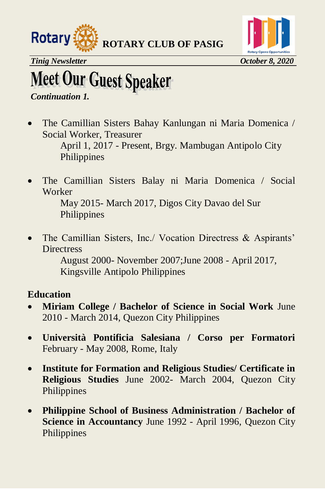



## **Meet Our Guest Speaker**

#### *Continuation 1.*

 The Camillian Sisters Bahay Kanlungan ni Maria Domenica / Social Worker, Treasurer

April 1, 2017 - Present, Brgy. Mambugan Antipolo City Philippines

 The Camillian Sisters Balay ni Maria Domenica / Social Worker

May 2015- March 2017, Digos City Davao del Sur Philippines

• The Camillian Sisters, Inc./ Vocation Directress & Aspirants' **Directress** 

August 2000- November 2007;June 2008 - April 2017, Kingsville Antipolo Philippines

#### **Education**

- **Miriam College / Bachelor of Science in Social Work** June 2010 - March 2014, Quezon City Philippines
- **Università Pontificia Salesiana / Corso per Formatori** February - May 2008, Rome, Italy
- **Institute for Formation and Religious Studies/ Certificate in Religious Studies** June 2002- March 2004, Quezon City Philippines
- **Philippine School of Business Administration / Bachelor of Science in Accountancy** June 1992 - April 1996, Quezon City Philippines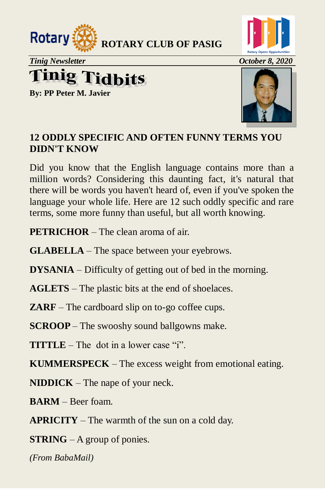



*Tinig Newsletter October 8, 2020* 

### **Tinig Tidbits**

**By: PP Peter M. Javier**



#### **12 ODDLY SPECIFIC AND OFTEN FUNNY TERMS YOU DIDN'T KNOW**

Did you know that the English language contains more than a million words? Considering this daunting fact, it's natural that there will be words you haven't heard of, even if you've spoken the language your whole life. Here are 12 such oddly specific and rare terms, some more funny than useful, but all worth knowing.

**PETRICHOR** – The clean aroma of air.

**GLABELLA** – The space between your eyebrows.

**DYSANIA** – Difficulty of getting out of bed in the morning.

**AGLETS** – The plastic bits at the end of shoelaces.

**ZARF** – The cardboard slip on to-go coffee cups.

**SCROOP** – The swooshy sound ballgowns make.

**TITTLE** – The dot in a lower case  $i$ 

**KUMMERSPECK** – The excess weight from emotional eating.

**NIDDICK** – The nape of your neck.

**BARM** – Beer foam.

**APRICITY** – The warmth of the sun on a cold day.

**STRING** – A group of ponies.

*(From BabaMail)*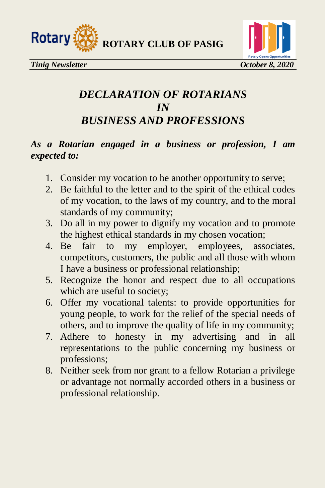



#### *DECLARATION OF ROTARIANS IN BUSINESS AND PROFESSIONS*

#### *As a Rotarian engaged in a business or profession, I am expected to:*

- 1. Consider my vocation to be another opportunity to serve;
- 2. Be faithful to the letter and to the spirit of the ethical codes of my vocation, to the laws of my country, and to the moral standards of my community;
- 3. Do all in my power to dignify my vocation and to promote the highest ethical standards in my chosen vocation;
- 4. Be fair to my employer, employees, associates, competitors, customers, the public and all those with whom I have a business or professional relationship;
- 5. Recognize the honor and respect due to all occupations which are useful to society;
- 6. Offer my vocational talents: to provide opportunities for young people, to work for the relief of the special needs of others, and to improve the quality of life in my community;
- 7. Adhere to honesty in my advertising and in all representations to the public concerning my business or professions;
- 8. Neither seek from nor grant to a fellow Rotarian a privilege or advantage not normally accorded others in a business or professional relationship.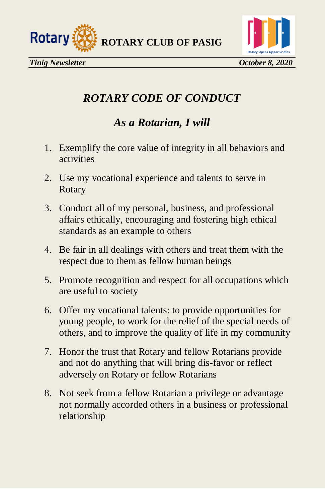



### *ROTARY CODE OF CONDUCT*

#### *As a Rotarian, I will*

- 1. Exemplify the core value of integrity in all behaviors and activities
- 2. Use my vocational experience and talents to serve in Rotary
- 3. Conduct all of my personal, business, and professional affairs ethically, encouraging and fostering high ethical standards as an example to others
- 4. Be fair in all dealings with others and treat them with the respect due to them as fellow human beings
- 5. Promote recognition and respect for all occupations which are useful to society
- 6. Offer my vocational talents: to provide opportunities for young people, to work for the relief of the special needs of others, and to improve the quality of life in my community
- 7. Honor the trust that Rotary and fellow Rotarians provide and not do anything that will bring dis-favor or reflect adversely on Rotary or fellow Rotarians
- 8. Not seek from a fellow Rotarian a privilege or advantage not normally accorded others in a business or professional relationship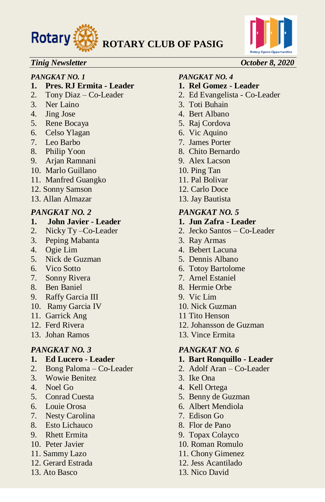



#### *Tinig Newsletter October 8, 2020*

#### *PANGKAT NO. 1 PANGKAT NO. 4*

- **1. Pres. RJ Ermita - Leader 1. Rel Gomez - Leader**
- 
- 
- 
- 5. Rene Bocaya 5. Raj Cordova
- 6. Celso Ylagan 6. Vic Aquino
- 
- 
- 9. Arjan Ramnani 9. Alex Lacson
- 10. Marlo Guillano 10. Ping Tan
- 11. Manfred Guangko 11. Pal Bolivar
- 12. Sonny Samson 12. Carlo Doce
- 13. Allan Almazar 13. Jay Bautista

- **1. John Javier - Leader 1. Jun Zafra - Leader**
- 
- 3. Peping Mabanta 3. Ray Armas
- 
- 5. Nick de Guzman 5. Dennis Albano
- 
- 7. Sonny Rivera 7. Arnel Estaniel
- 8. Ben Baniel 8. Hermie Orbe
- 9. Raffy Garcia III 9. Vic Lim
- 10. Ramy Garcia IV 10. Nick Guzman
- 11. Garrick Ang 11 Tito Henson
- 
- 

- 
- 2. Bong Paloma Co-Leader 2. Adolf Aran Co-Leader
- 3. Wowie Benitez 3. Ike Ona
- 
- 
- 
- 7. Nesty Carolina 7. Edison Go
- 8. Esto Lichauco 8. Flor de Pano
- 
- 
- 
- 
- 

- 2. Tony Diaz Co-Leader 2. Ed Evangelista Co-Leader
- 3. Ner Laino 3. Toti Buhain
- 4. Jing Jose 4. Bert Albano
	-
	-
- 7. Leo Barbo 7. James Porter
- 8. Philip Yoon 8. Chito Bernardo
	-
	-
	-
	-
	-

#### *PANGKAT NO. 2 PANGKAT NO. 5*

- 
- 2. Nicky Ty –Co-Leader 2. Jecko Santos Co-Leader
	-
- 4. Ogie Lim 4. Bebert Lacuna
	-
- 6. Vico Sotto 6. Totoy Bartolome
	-
	-
	-
	-
	-
- 12. Ferd Rivera 12. Johansson de Guzman
- 13. Johan Ramos 13. Vince Ermita

#### *PANGKAT NO. 3 PANGKAT NO. 6*

- **1. Ed Lucero - Leader 1. Bart Ronquillo - Leader**
	-
	-
- 4. Noel Go 4. Kell Ortega
- 5. Conrad Cuesta 5. Benny de Guzman
- 6. Louie Orosa 6. Albert Mendiola
	-
	-
- 9. Rhett Ermita 9. Topax Colayco
- 10. Peter Javier 10. Roman Romulo
- 11. Sammy Lazo 11. Chony Gimenez
- 12. Gerard Estrada 12. Jess Acantilado
- 13. Ato Basco 13. Nico David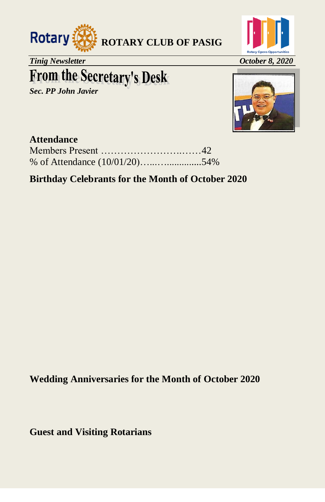



*Tinig Newsletter October 8, 2020* 

### **From the Secretary's Desk**

*Sec. PP John Javier* 



#### **Attendance**

|  | % of Attendance $(10/01/20)$ 54% |
|--|----------------------------------|

#### **Birthday Celebrants for the Month of October 2020**

**Wedding Anniversaries for the Month of October 2020** 

**Guest and Visiting Rotarians**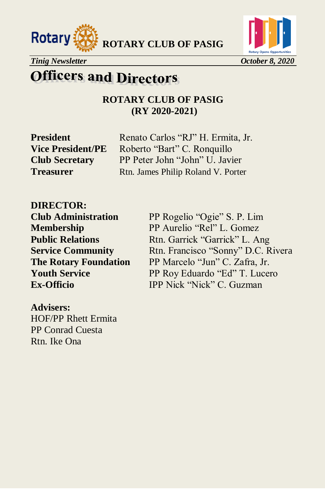





### **Officers and Directors**

**ROTARY CLUB OF PASIG (RY 2020-2021)**

**President** Renato Carlos "RJ" H. Ermita, Jr. **Vice President/PE** Roberto "Bart" C. Ronquillo **Club Secretary** PP Peter John "John" U. Javier **Treasurer** Rtn. James Philip Roland V. Porter

**DIRECTOR:** 

**Club Administration** PP Rogelio "Ogie" S. P. Lim **Membership** PP Aurelio "Rel" L. Gomez **Public Relations** Rtn. Garrick "Garrick" L. Ang **Service Community** Rtn. Francisco "Sonny" D.C. Rivera **The Rotary Foundation** PP Marcelo "Jun" C. Zafra, Jr. **Youth Service** PP Roy Eduardo "Ed" T. Lucero **Ex-Officio IPP Nick "Nick" C. Guzman** 

**Advisers:**  HOF/PP Rhett Ermita PP Conrad Cuesta Rtn. Ike Ona